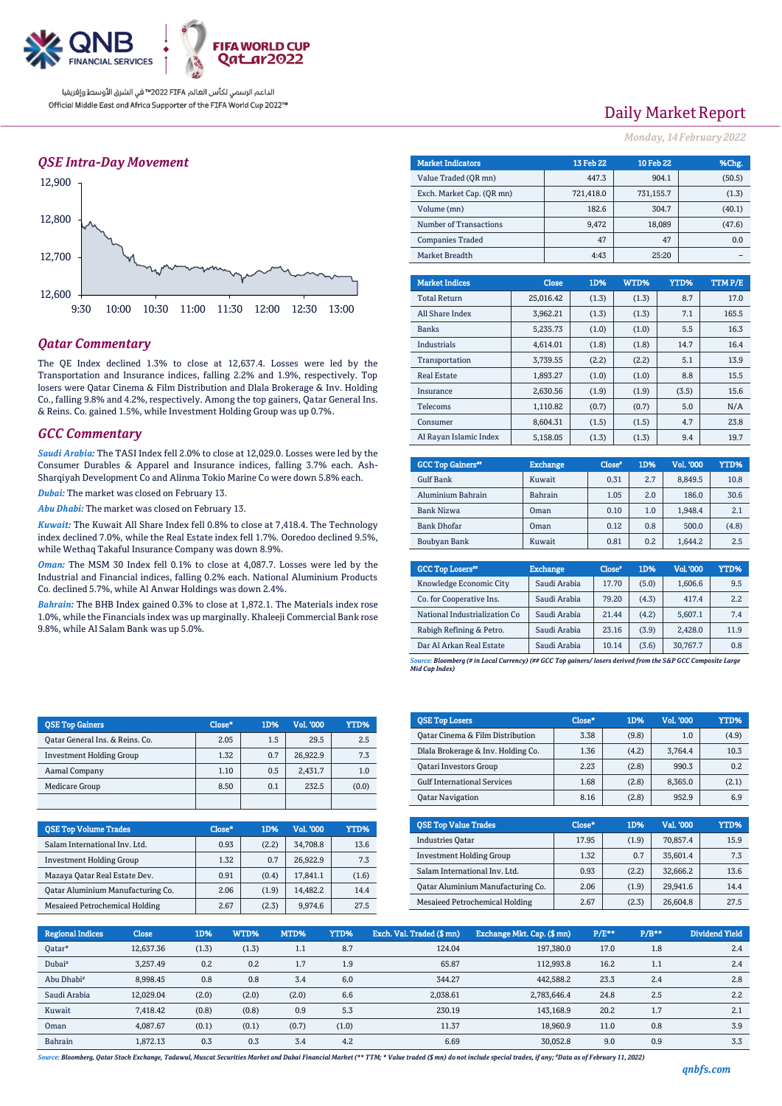

الداعم الرسمي لكأس العالم PIFA™ في الشرق الأوسط وإفريقيا Official Middle East and Africa Supporter of the FIFA World Cup 2022™

## *QSE Intra-Day Movement*



## *Qatar Commentary*

The QE Index declined 1.3% to close at 12,637.4. Losses were led by the Transportation and Insurance indices, falling 2.2% and 1.9%, respectively. Top losers were Qatar Cinema & Film Distribution and Dlala Brokerage & Inv. Holding Co., falling 9.8% and 4.2%, respectively. Among the top gainers, Qatar General Ins. & Reins. Co. gained 1.5%, while Investment Holding Group was up 0.7%.

#### *GCC Commentary*

*Saudi Arabia:* The TASI Index fell 2.0% to close at 12,029.0. Losses were led by the Consumer Durables & Apparel and Insurance indices, falling 3.7% each. Ash-Sharqiyah Development Co and Alinma Tokio Marine Co were down 5.8% each.

*Dubai:* The market was closed on February 13.

*Abu Dhabi:* The market was closed on February 13.

*Kuwait:* The Kuwait All Share Index fell 0.8% to close at 7,418.4. The Technology index declined 7.0%, while the Real Estate index fell 1.7%. Ooredoo declined 9.5%, while Wethaq Takaful Insurance Company was down 8.9%.

*Oman:* The MSM 30 Index fell 0.1% to close at 4,087.7. Losses were led by the Industrial and Financial indices, falling 0.2% each. National Aluminium Products Co. declined 5.7%, while Al Anwar Holdings was down 2.4%.

*Bahrain:* The BHB Index gained 0.3% to close at 1,872.1. The Materials index rose 1.0%, while the Financials index was up marginally. Khaleeji Commercial Bank rose 9.8%, while Al Salam Bank was up 5.0%.

| <b>OSE Top Gainers</b>          | Close* | 1D% | Vol. '000 | YTD%  |
|---------------------------------|--------|-----|-----------|-------|
| Oatar General Ins. & Reins. Co. | 2.05   | 1.5 | 29.5      | 2.5   |
| <b>Investment Holding Group</b> | 1.32   | 0.7 | 26.922.9  | 7.3   |
| Aamal Company                   | 1.10   | 0.5 | 2.431.7   | 1.0   |
| Medicare Group                  | 8.50   | 0.1 | 232.5     | (0.0) |
|                                 |        |     |           |       |

| <b>QSE Top Volume Trades</b>      | Close* | 1D%   | Vol. '000 | YTD%  |
|-----------------------------------|--------|-------|-----------|-------|
| Salam International Inv. Ltd.     | 0.93   | (2.2) | 34.708.8  | 13.6  |
| <b>Investment Holding Group</b>   | 1.32   | 0.7   | 26,922.9  | 7.3   |
| Mazaya Qatar Real Estate Dev.     | 0.91   | (0.4) | 17.841.1  | (1.6) |
| Qatar Aluminium Manufacturing Co. | 2.06   | (1.9) | 14.482.2  | 14.4  |
| Mesaieed Petrochemical Holding    | 2.67   | (2.3) | 9.974.6   | 27.5  |

## Daily Market Report

*Monday, 14February 2022*

| <b>Market Indicators</b>  | 13 Feb 22 | 10 Feb 22 | %Chg.  |
|---------------------------|-----------|-----------|--------|
| Value Traded (OR mn)      | 447.3     | 904.1     | (50.5) |
| Exch. Market Cap. (OR mn) | 721.418.0 | 731,155.7 | (1.3)  |
| Volume (mn)               | 182.6     | 304.7     | (40.1) |
| Number of Transactions    | 9.472     | 18,089    | (47.6) |
| <b>Companies Traded</b>   | 47        | 47        | 0.0    |
| Market Breadth            | 4:43      | 25:20     |        |
|                           |           |           |        |

| <b>Market Indices</b>  | <b>Close</b> | 1D%   | WTD%  | YTD%  | TTM P/E |
|------------------------|--------------|-------|-------|-------|---------|
| <b>Total Return</b>    | 25,016.42    | (1.3) | (1.3) | 8.7   | 17.0    |
| All Share Index        | 3.962.21     | (1.3) | (1.3) | 7.1   | 165.5   |
| <b>Banks</b>           | 5,235.73     | (1.0) | (1.0) | 5.5   | 16.3    |
| <b>Industrials</b>     | 4,614.01     | (1.8) | (1.8) | 14.7  | 16.4    |
| Transportation         | 3,739.55     | (2.2) | (2.2) | 5.1   | 13.9    |
| <b>Real Estate</b>     | 1,893.27     | (1.0) | (1.0) | 8.8   | 15.5    |
| Insurance              | 2.630.56     | (1.9) | (1.9) | (3.5) | 15.6    |
| Telecoms               | 1,110.82     | (0.7) | (0.7) | 5.0   | N/A     |
| Consumer               | 8.604.31     | (1.5) | (1.5) | 4.7   | 23.8    |
| Al Rayan Islamic Index | 5,158.05     | (1.3) | (1.3) | 9.4   | 19.7    |

| <b>GCC Top Gainers**</b> | <b>Exchange</b> | Close* | 1D% | Vol. '000 | YTD%  |
|--------------------------|-----------------|--------|-----|-----------|-------|
| Gulf Bank                | Kuwait          | 0.31   | 2.7 | 8.849.5   | 10.8  |
| Aluminium Bahrain        | <b>Bahrain</b>  | 1.05   | 2.0 | 186.0     | 30.6  |
| Bank Nizwa               | Oman            | 0.10   | 1.0 | 1.948.4   | 2.1   |
| <b>Bank Dhofar</b>       | Oman            | 0.12   | 0.8 | 500.0     | (4.8) |
| Boubyan Bank             | Kuwait          | 0.81   | 0.2 | 1.644.2   | 2.5   |

| <b>GCC Top Losers</b> "       | <b>Exchange</b> | Close <sup>®</sup> | 1D%   | <b>Vol.'000</b> | YTD% |
|-------------------------------|-----------------|--------------------|-------|-----------------|------|
| Knowledge Economic City       | Saudi Arabia    | 17.70              | (5.0) | 1,606.6         | 9.5  |
| Co. for Cooperative Ins.      | Saudi Arabia    | 79.20              | (4.3) | 417.4           | 2.2  |
| National Industrialization Co | Saudi Arabia    | 21.44              | (4.2) | 5,607.1         | 7.4  |
| Rabigh Refining & Petro.      | Saudi Arabia    | 23.16              | (3.9) | 2,428.0         | 11.9 |
| Dar Al Arkan Real Estate      | Saudi Arabia    | 10.14              | (3.6) | 30,767.7        | 0.8  |

*Source: Bloomberg (# in Local Currency) (## GCC Top gainers/ losers derived from the S&P GCC Composite Large Mid Cap Index)*

| <b>QSE Top Losers</b>                       | Close* | 1D%   | <b>Vol. '000</b> | YTD%  |
|---------------------------------------------|--------|-------|------------------|-------|
| <b>Qatar Cinema &amp; Film Distribution</b> | 3.38   | (9.8) | 1.0              | (4.9) |
| Dlala Brokerage & Inv. Holding Co.          | 1.36   | (4.2) | 3.764.4          | 10.3  |
| Qatari Investors Group                      | 2.23   | (2.8) | 990.3            | 0.2   |
| <b>Gulf International Services</b>          | 1.68   | (2.8) | 8,365.0          | (2.1) |
| <b>Oatar Navigation</b>                     | 8.16   | (2.8) | 952.9            | 6.9   |

| <b>OSE Top Value Trades</b>       | Close* | 1D%   | Val. '000 | YTD% |
|-----------------------------------|--------|-------|-----------|------|
| <b>Industries Oatar</b>           | 17.95  | (1.9) | 70,857.4  | 15.9 |
| <b>Investment Holding Group</b>   | 1.32   | 0.7   | 35,601.4  | 7.3  |
| Salam International Inv. Ltd.     | 0.93   | (2.2) | 32.666.2  | 13.6 |
| Oatar Aluminium Manufacturing Co. | 2.06   | (1.9) | 29.941.6  | 14.4 |
| Mesaieed Petrochemical Holding    | 2.67   | (2.3) | 26.604.8  | 27.5 |

| <b>Regional Indices</b> | <b>Close</b> | 1D%   | WTD%  | MTD%  | <b>YTD%</b> | Exch. Val. Traded (\$mn) | Exchange Mkt. Cap. (\$mn) | $P/E**$ | $P/B**$ | <b>Dividend Yield</b> |
|-------------------------|--------------|-------|-------|-------|-------------|--------------------------|---------------------------|---------|---------|-----------------------|
| Oatar*                  | 12,637.36    | (1.3) | (1.3) | 1.1   | 8.7         | 124.04                   | 197,380.0                 | 17.0    | 1.8     | 2.4                   |
| Dubai <sup>#</sup>      | 3.257.49     | 0.2   | 0.2   | 1.7   | 1.9         | 65.87                    | 112.993.8                 | 16.2    | 1.1     | 2.4                   |
| Abu Dhabi <sup>#</sup>  | 8.998.45     | 0.8   | 0.8   | 3.4   | 6.0         | 344.27                   | 442.588.2                 | 23.3    | 2.4     | 2.8                   |
| Saudi Arabia            | 12.029.04    | (2.0) | (2.0) | (2.0) | 6.6         | 2,038.61                 | 2,783,646.4               | 24.8    | 2.5     | 2.2                   |
| Kuwait                  | 7.418.42     | (0.8) | (0.8) | 0.9   | 5.3         | 230.19                   | 143.168.9                 | 20.2    | 1.7     | 2.1                   |
| Oman                    | 4.087.67     | (0.1) | (0.1) | (0.7) | (1.0)       | 11.37                    | 18.960.9                  | 11.0    | 0.8     | 3.9                   |
| Bahrain                 | 1.872.13     | 0.3   | 0.3   | 3.4   | 4.2         | 6.69                     | 30.052.8                  | 9.0     | 0.9     | 3.3                   |

*Source: Bloomberg, Qatar Stock Exchange, Tadawul, Muscat Securities Market and Dubai Financial Market (\*\* TTM; \* Value traded (\$ mn) do not include special trades, if any; #Data as of February 11, 2022)*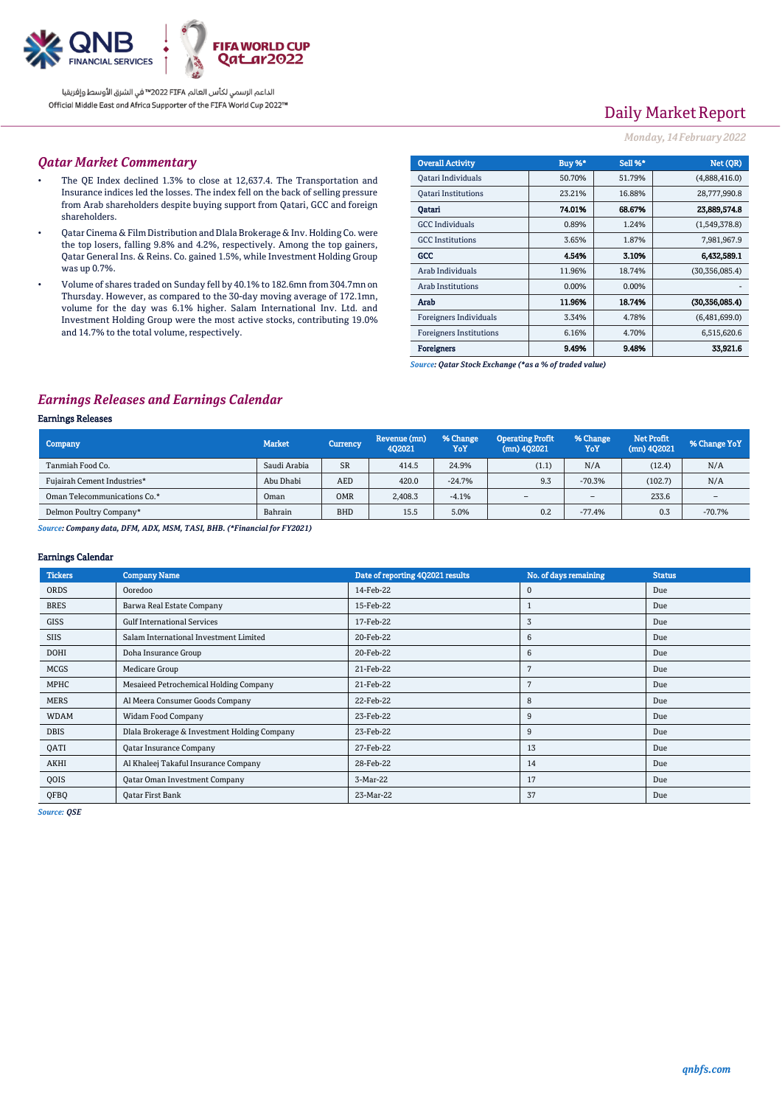

الداعم الرسمي لكأس العالم PIFA™ في الشرق الأوسط وإفريقيا Official Middle East and Africa Supporter of the FIFA World Cup 2022™

# Daily Market Report

### *Monday, 14February 2022*

### *Qatar Market Commentary*

- The QE Index declined 1.3% to close at 12,637.4. The Transportation and Insurance indices led the losses. The index fell on the back of selling pressure from Arab shareholders despite buying support from Qatari, GCC and foreign shareholders.
- Qatar Cinema & Film Distribution and Dlala Brokerage & Inv. Holding Co. were the top losers, falling 9.8% and 4.2%, respectively. Among the top gainers, Qatar General Ins. & Reins. Co. gained 1.5%, while Investment Holding Group was up 0.7%.
- Volume of shares traded on Sunday fell by 40.1% to 182.6mn from 304.7mn on Thursday. However, as compared to the 30-day moving average of 172.1mn, volume for the day was 6.1% higher. Salam International Inv. Ltd. and Investment Holding Group were the most active stocks, contributing 19.0% and 14.7% to the total volume, respectively.

| <b>Overall Activity</b>        | Buy %*   | Sell %* | Net (OR)         |
|--------------------------------|----------|---------|------------------|
| Qatari Individuals             | 50.70%   | 51.79%  | (4,888,416.0)    |
| <b>Oatari Institutions</b>     | 23.21%   | 16.88%  | 28,777,990.8     |
| Oatari                         | 74.01%   | 68.67%  | 23.889.574.8     |
| <b>GCC</b> Individuals         | 0.89%    | 1.24%   | (1,549,378.8)    |
| <b>GCC</b> Institutions        | 3.65%    | 1.87%   | 7,981,967.9      |
| GCC                            | 4.54%    | 3.10%   | 6,432,589.1      |
| Arab Individuals               | 11.96%   | 18.74%  | (30, 356, 085.4) |
| <b>Arab Institutions</b>       | $0.00\%$ | 0.00%   |                  |
| Arab                           | 11.96%   | 18.74%  | (30.356.085.4)   |
| Foreigners Individuals         | 3.34%    | 4.78%   | (6,481,699.0)    |
| <b>Foreigners Institutions</b> | 6.16%    | 4.70%   | 6,515,620.6      |
| <b>Foreigners</b>              | 9.49%    | 9.48%   | 33,921.6         |

*Source: Qatar Stock Exchange (\*as a % of traded value)*

## *Earnings Releases and Earnings Calendar*

#### Earnings Releases

| Company                      | <b>Market</b> | Currency,  | Revenue (mn)<br>402021 | % Change<br>YoY | <b>Operating Profit</b><br>$(mn)$ 402021 | % Change<br>YoY | <b>Net Profit</b><br>$(mn)$ 402021 | % Change YoY             |
|------------------------------|---------------|------------|------------------------|-----------------|------------------------------------------|-----------------|------------------------------------|--------------------------|
| Tanmiah Food Co.             | Saudi Arabia  | <b>SR</b>  | 414.5                  | 24.9%           | (1.1)                                    | N/A             | (12.4)                             | N/A                      |
| Fujairah Cement Industries*  | Abu Dhabi     | <b>AED</b> | 420.0                  | $-24.7%$        | 9.3                                      | $-70.3%$        | (102.7)                            | N/A                      |
| Oman Telecommunications Co.* | Oman          | <b>OMR</b> | 2,408.3                | $-4.1%$         | $\sim$                                   | $\sim$          | 233.6                              | $\overline{\phantom{a}}$ |
| Delmon Poultry Company*      | Bahrain       | <b>BHD</b> | 15.5                   | 5.0%            | 0.2                                      | $-77.4%$        | 0.3                                | $-70.7%$                 |

*Source: Company data, DFM, ADX, MSM, TASI, BHB. (\*Financial for FY2021)*

#### Earnings Calendar

| <b>Tickers</b> | <b>Company Name</b>                          | Date of reporting 4Q2021 results | No. of days remaining | <b>Status</b> |
|----------------|----------------------------------------------|----------------------------------|-----------------------|---------------|
| <b>ORDS</b>    | Ooredoo                                      | 14-Feb-22                        | $\mathbf 0$           | Due           |
| <b>BRES</b>    | Barwa Real Estate Company                    | 15-Feb-22                        |                       | Due           |
| <b>GISS</b>    | <b>Gulf International Services</b>           | 17-Feb-22                        | 3                     | Due           |
| <b>SIIS</b>    | Salam International Investment Limited       | 20-Feb-22                        | 6                     | Due           |
| DOHI           | Doha Insurance Group                         | 20-Feb-22                        | 6                     | Due           |
| <b>MCGS</b>    | Medicare Group                               | 21-Feb-22                        | 7                     | Due           |
| MPHC           | Mesaieed Petrochemical Holding Company       | 21-Feb-22                        | 7                     | Due           |
| <b>MERS</b>    | Al Meera Consumer Goods Company              | 22-Feb-22                        | 8                     | Due           |
| <b>WDAM</b>    | <b>Widam Food Company</b>                    | 23-Feb-22                        | 9                     | Due           |
| <b>DBIS</b>    | Dlala Brokerage & Investment Holding Company | 23-Feb-22                        | 9                     | Due           |
| QATI           | <b>Qatar Insurance Company</b>               | 27-Feb-22                        | 13                    | Due           |
| AKHI           | Al Khaleej Takaful Insurance Company         | 28-Feb-22                        | 14                    | Due           |
| QOIS           | Qatar Oman Investment Company                | 3-Mar-22                         | 17                    | Due           |
| QFBQ           | Oatar First Bank                             | 23-Mar-22                        | 37                    | Due           |

*Source: QSE*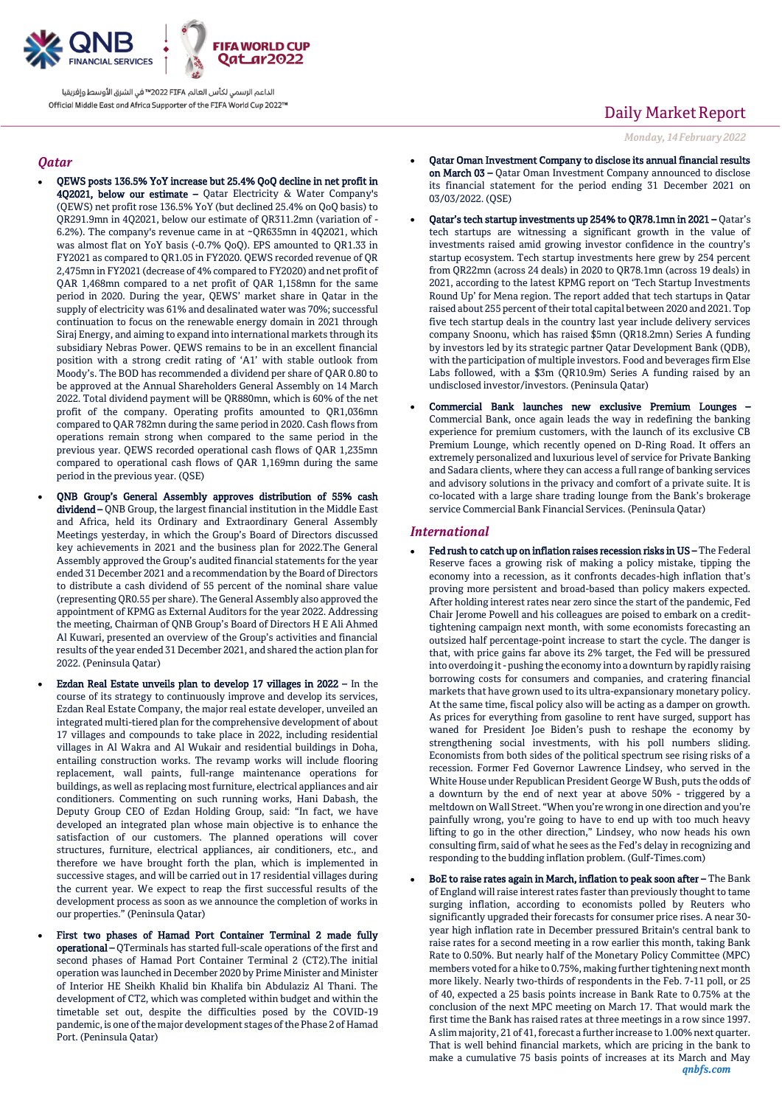

الداعم الرسمى لكأس العالم PIFA™ في الشرق الأوسط وإفريقيا Official Middle East and Africa Supporter of the FIFA World Cup 2022™

## *Qatar*

- QEWS posts 136.5% YoY increase but 25.4% QoQ decline in net profit in 4Q2021, below our estimate – Qatar Electricity & Water Company's (QEWS) net profit rose 136.5% YoY (but declined 25.4% on QoQ basis) to QR291.9mn in 4Q2021, below our estimate of QR311.2mn (variation of - 6.2%). The company's revenue came in at ~QR635mn in 4Q2021, which was almost flat on YoY basis (-0.7% QoQ). EPS amounted to QR1.33 in FY2021 as compared to QR1.05 in FY2020. QEWS recorded revenue of QR 2,475mn in FY2021 (decrease of 4% compared to FY2020) and net profit of QAR 1,468mn compared to a net profit of QAR 1,158mn for the same period in 2020. During the year, QEWS' market share in Qatar in the supply of electricity was 61% and desalinated water was 70%; successful continuation to focus on the renewable energy domain in 2021 through Siraj Energy, and aiming to expand into international markets through its subsidiary Nebras Power. QEWS remains to be in an excellent financial position with a strong credit rating of 'A1' with stable outlook from Moody's. The BOD has recommended a dividend per share of QAR 0.80 to be approved at the Annual Shareholders General Assembly on 14 March 2022. Total dividend payment will be QR880mn, which is 60% of the net profit of the company. Operating profits amounted to QR1,036mn compared to QAR 782mn during the same period in 2020. Cash flows from operations remain strong when compared to the same period in the previous year. QEWS recorded operational cash flows of QAR 1,235mn compared to operational cash flows of QAR 1,169mn during the same period in the previous year. (QSE)
- QNB Group's General Assembly approves distribution of 55% cash dividend – QNB Group, the largest financial institution in the Middle East and Africa, held its Ordinary and Extraordinary General Assembly Meetings yesterday, in which the Group's Board of Directors discussed key achievements in 2021 and the business plan for 2022.The General Assembly approved the Group's audited financial statements for the year ended 31 December 2021 and a recommendation by the Board of Directors to distribute a cash dividend of 55 percent of the nominal share value (representing QR0.55 per share). The General Assembly also approved the appointment of KPMG as External Auditors for the year 2022. Addressing the meeting, Chairman of QNB Group's Board of Directors H E Ali Ahmed Al Kuwari, presented an overview of the Group's activities and financial results of the year ended 31 December 2021, and shared the action plan for 2022. (Peninsula Qatar)
- Ezdan Real Estate unveils plan to develop 17 villages in 2022 In the course of its strategy to continuously improve and develop its services, Ezdan Real Estate Company, the major real estate developer, unveiled an integrated multi-tiered plan for the comprehensive development of about 17 villages and compounds to take place in 2022, including residential villages in Al Wakra and Al Wukair and residential buildings in Doha, entailing construction works. The revamp works will include flooring replacement, wall paints, full-range maintenance operations for buildings, as well as replacing most furniture, electrical appliances and air conditioners. Commenting on such running works, Hani Dabash, the Deputy Group CEO of Ezdan Holding Group, said: "In fact, we have developed an integrated plan whose main objective is to enhance the satisfaction of our customers. The planned operations will cover structures, furniture, electrical appliances, air conditioners, etc., and therefore we have brought forth the plan, which is implemented in successive stages, and will be carried out in 17 residential villages during the current year. We expect to reap the first successful results of the development process as soon as we announce the completion of works in our properties." (Peninsula Qatar)
- First two phases of Hamad Port Container Terminal 2 made fully operational – QTerminals has started full-scale operations of the first and second phases of Hamad Port Container Terminal 2 (CT2).The initial operation was launched in December 2020 by Prime Minister and Minister of Interior HE Sheikh Khalid bin Khalifa bin Abdulaziz Al Thani. The development of CT2, which was completed within budget and within the timetable set out, despite the difficulties posed by the COVID-19 pandemic, is one of the major development stages of the Phase 2 of Hamad Port. (Peninsula Qatar)

# Daily Market Report

*Monday, 14February 2022*

- Qatar Oman Investment Company to disclose its annual financial results on March 03 – Qatar Oman Investment Company announced to disclose its financial statement for the period ending 31 December 2021 on 03/03/2022. (QSE)
- Qatar's tech startup investments up 254% to QR78.1mn in 2021 Qatar's tech startups are witnessing a significant growth in the value of investments raised amid growing investor confidence in the country's startup ecosystem. Tech startup investments here grew by 254 percent from QR22mn (across 24 deals) in 2020 to QR78.1mn (across 19 deals) in 2021, according to the latest KPMG report on 'Tech Startup Investments Round Up' for Mena region. The report added that tech startups in Qatar raised about 255 percent of their total capital between 2020 and 2021. Top five tech startup deals in the country last year include delivery services company Snoonu, which has raised \$5mn (QR18.2mn) Series A funding by investors led by its strategic partner Qatar Development Bank (QDB), with the participation of multiple investors. Food and beverages firm Else Labs followed, with a \$3m (QR10.9m) Series A funding raised by an undisclosed investor/investors. (Peninsula Qatar)
- Commercial Bank launches new exclusive Premium Lounges Commercial Bank, once again leads the way in redefining the banking experience for premium customers, with the launch of its exclusive CB Premium Lounge, which recently opened on D-Ring Road. It offers an extremely personalized and luxurious level of service for Private Banking and Sadara clients, where they can access a full range of banking services and advisory solutions in the privacy and comfort of a private suite. It is co-located with a large share trading lounge from the Bank's brokerage service Commercial Bank Financial Services. (Peninsula Qatar)

#### *International*

- Fed rush to catch up on inflation raises recession risks in US The Federal Reserve faces a growing risk of making a policy mistake, tipping the economy into a recession, as it confronts decades-high inflation that's proving more persistent and broad-based than policy makers expected. After holding interest rates near zero since the start of the pandemic, Fed Chair Jerome Powell and his colleagues are poised to embark on a credittightening campaign next month, with some economists forecasting an outsized half percentage-point increase to start the cycle. The danger is that, with price gains far above its 2% target, the Fed will be pressured into overdoing it - pushing the economy into a downturn by rapidly raising borrowing costs for consumers and companies, and cratering financial markets that have grown used to its ultra-expansionary monetary policy. At the same time, fiscal policy also will be acting as a damper on growth. As prices for everything from gasoline to rent have surged, support has waned for President Joe Biden's push to reshape the economy by strengthening social investments, with his poll numbers sliding. Economists from both sides of the political spectrum see rising risks of a recession. Former Fed Governor Lawrence Lindsey, who served in the White House under Republican President George W Bush, puts the odds of a downturn by the end of next year at above 50% - triggered by a meltdown on Wall Street. "When you're wrong in one direction and you're painfully wrong, you're going to have to end up with too much heavy lifting to go in the other direction," Lindsey, who now heads his own consulting firm, said of what he sees as the Fed's delay in recognizing and responding to the budding inflation problem. (Gulf-Times.com)
- *qnbfs.com* BoE to raise rates again in March, inflation to peak soon after – The Bank of England will raise interest rates faster than previously thought to tame surging inflation, according to economists polled by Reuters who significantly upgraded their forecasts for consumer price rises. A near 30 year high inflation rate in December pressured Britain's central bank to raise rates for a second meeting in a row earlier this month, taking Bank Rate to 0.50%. But nearly half of the Monetary Policy Committee (MPC) members voted for a hike to 0.75%, making further tightening next month more likely. Nearly two-thirds of respondents in the Feb. 7-11 poll, or 25 of 40, expected a 25 basis points increase in Bank Rate to 0.75% at the conclusion of the next MPC meeting on March 17. That would mark the first time the Bank has raised rates at three meetings in a row since 1997. A slim majority, 21 of 41, forecast a further increase to 1.00% next quarter. That is well behind financial markets, which are pricing in the bank to make a cumulative 75 basis points of increases at its March and May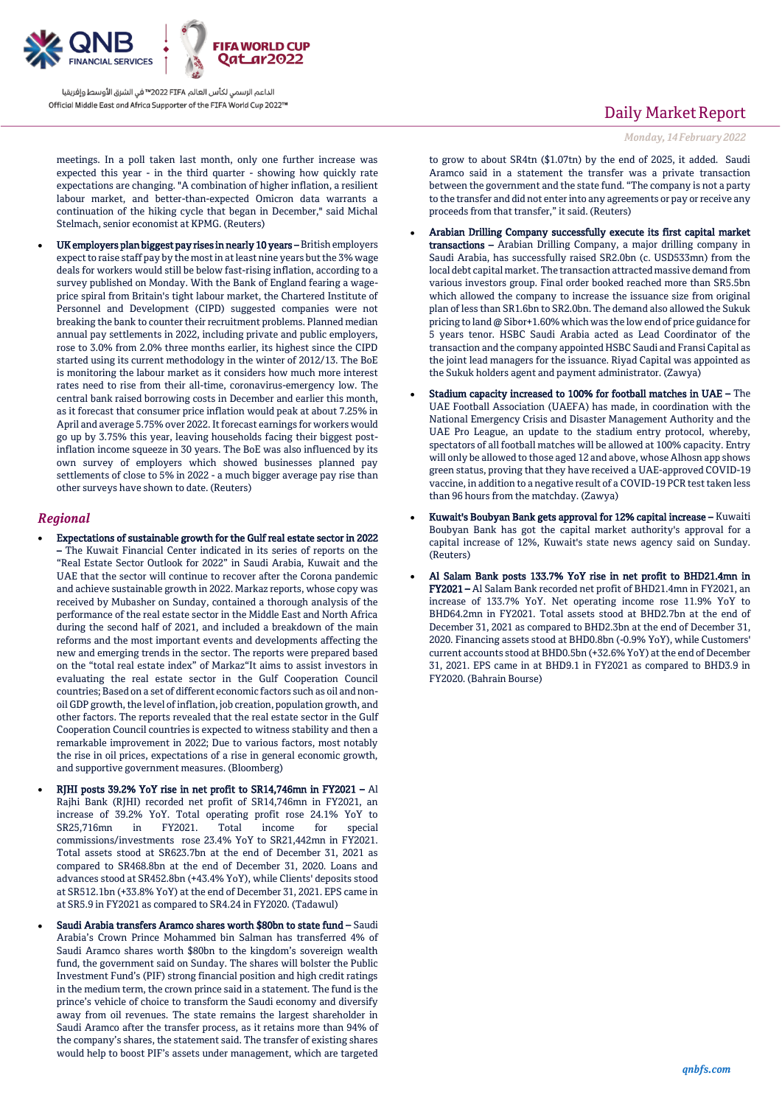

الداعم الرسمي لكأس العالم PIFA≤™ في الشرق الأوسط وإفريقيا Official Middle East and Africa Supporter of the FIFA World Cup 2022™

meetings. In a poll taken last month, only one further increase was expected this year - in the third quarter - showing how quickly rate expectations are changing. "A combination of higher inflation, a resilient labour market, and better-than-expected Omicron data warrants a continuation of the hiking cycle that began in December," said Michal Stelmach, senior economist at KPMG. (Reuters)

 UK employers plan biggest pay rises in nearly 10 years – British employers expect to raise staff pay by the most in at least nine years but the 3% wage deals for workers would still be below fast-rising inflation, according to a survey published on Monday. With the Bank of England fearing a wageprice spiral from Britain's tight labour market, the Chartered Institute of Personnel and Development (CIPD) suggested companies were not breaking the bank to counter their recruitment problems. Planned median annual pay settlements in 2022, including private and public employers, rose to 3.0% from 2.0% three months earlier, its highest since the CIPD started using its current methodology in the winter of 2012/13. The BoE is monitoring the labour market as it considers how much more interest rates need to rise from their all-time, coronavirus-emergency low. The central bank raised borrowing costs in December and earlier this month, as it forecast that consumer price inflation would peak at about 7.25% in April and average 5.75% over 2022. It forecast earnings for workers would go up by 3.75% this year, leaving households facing their biggest postinflation income squeeze in 30 years. The BoE was also influenced by its own survey of employers which showed businesses planned pay settlements of close to 5% in 2022 - a much bigger average pay rise than other surveys have shown to date. (Reuters)

### *Regional*

- Expectations of sustainable growth for the Gulf real estate sector in 2022 – The Kuwait Financial Center indicated in its series of reports on the "Real Estate Sector Outlook for 2022" in Saudi Arabia, Kuwait and the UAE that the sector will continue to recover after the Corona pandemic and achieve sustainable growth in 2022. Markaz reports, whose copy was received by Mubasher on Sunday, contained a thorough analysis of the performance of the real estate sector in the Middle East and North Africa during the second half of 2021, and included a breakdown of the main reforms and the most important events and developments affecting the new and emerging trends in the sector. The reports were prepared based on the "total real estate index" of Markaz"It aims to assist investors in evaluating the real estate sector in the Gulf Cooperation Council countries; Based on a set of different economic factors such as oil and nonoil GDP growth, the level of inflation, job creation, population growth, and other factors. The reports revealed that the real estate sector in the Gulf Cooperation Council countries is expected to witness stability and then a remarkable improvement in 2022; Due to various factors, most notably the rise in oil prices, expectations of a rise in general economic growth, and supportive government measures. (Bloomberg)
- RJHI posts 39.2% YoY rise in net profit to SR14,746mn in FY2021 Al Rajhi Bank (RJHI) recorded net profit of SR14,746mn in FY2021, an increase of 39.2% YoY. Total operating profit rose 24.1% YoY to SR25,716mn in FY2021. Total income for special commissions/investments rose 23.4% YoY to SR21,442mn in FY2021. Total assets stood at SR623.7bn at the end of December 31, 2021 as compared to SR468.8bn at the end of December 31, 2020. Loans and advances stood at SR452.8bn (+43.4% YoY), while Clients' deposits stood at SR512.1bn (+33.8% YoY) at the end of December 31, 2021. EPS came in at SR5.9 in FY2021 as compared to SR4.24 in FY2020. (Tadawul)
- Saudi Arabia transfers Aramco shares worth \$80bn to state fund Saudi Arabia's Crown Prince Mohammed bin Salman has transferred 4% of Saudi Aramco shares worth \$80bn to the kingdom's sovereign wealth fund, the government said on Sunday. The shares will bolster the Public Investment Fund's (PIF) strong financial position and high credit ratings in the medium term, the crown prince said in a statement. The fund is the prince's vehicle of choice to transform the Saudi economy and diversify away from oil revenues. The state remains the largest shareholder in Saudi Aramco after the transfer process, as it retains more than 94% of the company's shares, the statement said. The transfer of existing shares would help to boost PIF's assets under management, which are targeted

## Daily Market Report

*Monday, 14February 2022*

to grow to about SR4tn (\$1.07tn) by the end of 2025, it added. Saudi Aramco said in a statement the transfer was a private transaction between the government and the state fund. "The company is not a party to the transfer and did not enter into any agreements or pay or receive any proceeds from that transfer," it said. (Reuters)

- Arabian Drilling Company successfully execute its first capital market transactions – Arabian Drilling Company, a major drilling company in Saudi Arabia, has successfully raised SR2.0bn (c. USD533mn) from the local debt capital market. The transaction attracted massive demand from various investors group. Final order booked reached more than SR5.5bn which allowed the company to increase the issuance size from original plan of less than SR1.6bn to SR2.0bn. The demand also allowed the Sukuk pricing to land @ Sibor+1.60% which was the low end of price guidance for 5 years tenor. HSBC Saudi Arabia acted as Lead Coordinator of the transaction and the company appointed HSBC Saudi and Fransi Capital as the joint lead managers for the issuance. Riyad Capital was appointed as the Sukuk holders agent and payment administrator. (Zawya)
- Stadium capacity increased to 100% for football matches in UAE The UAE Football Association (UAEFA) has made, in coordination with the National Emergency Crisis and Disaster Management Authority and the UAE Pro League, an update to the stadium entry protocol, whereby, spectators of all football matches will be allowed at 100% capacity. Entry will only be allowed to those aged 12 and above, whose Alhosn app shows green status, proving that they have received a UAE-approved COVID-19 vaccine, in addition to a negative result of a COVID-19 PCR test taken less than 96 hours from the matchday. (Zawya)
- Kuwait's Boubyan Bank gets approval for 12% capital increase Kuwaiti Boubyan Bank has got the capital market authority's approval for a capital increase of 12%, Kuwait's state news agency said on Sunday. (Reuters)
- Al Salam Bank posts 133.7% YoY rise in net profit to BHD21.4mn in FY2021 – Al Salam Bank recorded net profit of BHD21.4mn in FY2021, an increase of 133.7% YoY. Net operating income rose 11.9% YoY to BHD64.2mn in FY2021. Total assets stood at BHD2.7bn at the end of December 31, 2021 as compared to BHD2.3bn at the end of December 31, 2020. Financing assets stood at BHD0.8bn (-0.9% YoY), while Customers' current accounts stood at BHD0.5bn (+32.6% YoY) at the end of December 31, 2021. EPS came in at BHD9.1 in FY2021 as compared to BHD3.9 in FY2020. (Bahrain Bourse)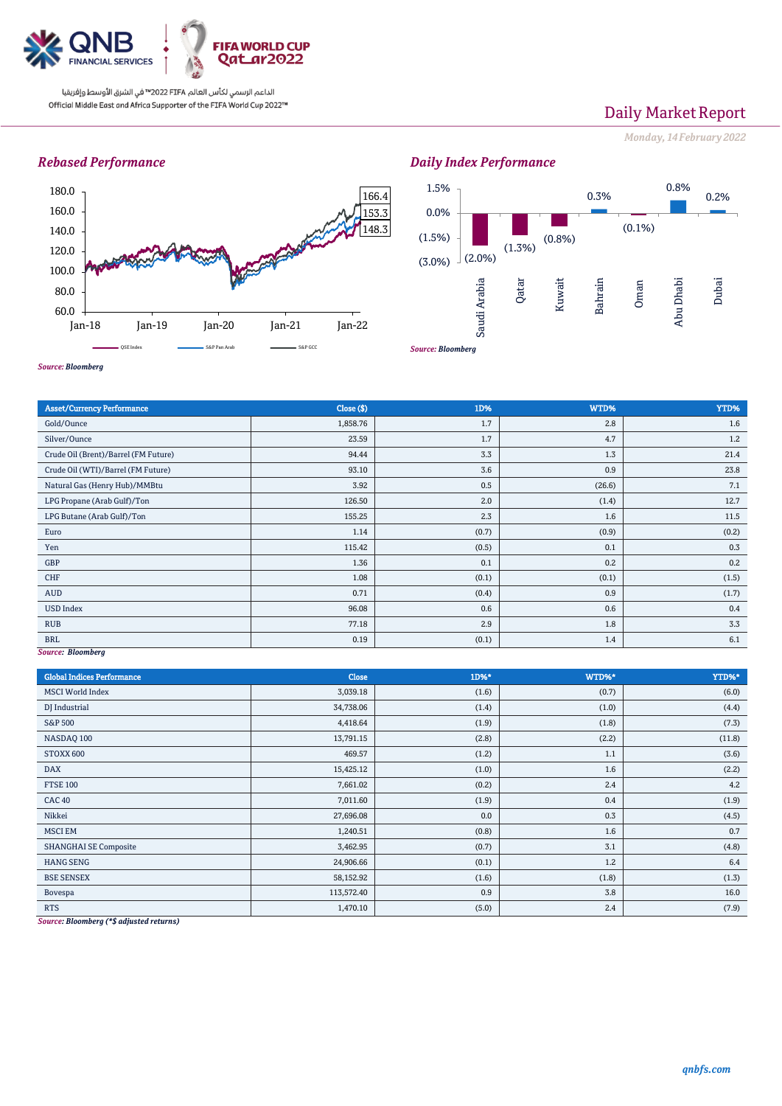

الداعم الرسمي لكأس العالم PIFA™ في الشرق الأوسط وإفريقيا Official Middle East and Africa Supporter of the FIFA World Cup 2022™

# Daily Market Report

*Monday, 14February 2022*

## *Rebased Performance*



*Daily Index Performance*



*Source: Bloomberg*

| <b>Asset/Currency Performance</b>    | Close ( \$) | 1D%   | WTD%   | YTD%  |  |  |
|--------------------------------------|-------------|-------|--------|-------|--|--|
| Gold/Ounce                           | 1,858.76    | 1.7   | 2.8    | 1.6   |  |  |
| Silver/Ounce                         | 23.59       | 1.7   | 4.7    | 1.2   |  |  |
| Crude Oil (Brent)/Barrel (FM Future) | 94.44       | 3.3   | 1.3    | 21.4  |  |  |
| Crude Oil (WTI)/Barrel (FM Future)   | 93.10       | 3.6   | 0.9    | 23.8  |  |  |
| Natural Gas (Henry Hub)/MMBtu        | 3.92        | 0.5   | (26.6) | 7.1   |  |  |
| LPG Propane (Arab Gulf)/Ton          | 126.50      | 2.0   | (1.4)  | 12.7  |  |  |
| LPG Butane (Arab Gulf)/Ton           | 155.25      | 2.3   | 1.6    | 11.5  |  |  |
| Euro                                 | 1.14        | (0.7) | (0.9)  | (0.2) |  |  |
| Yen                                  | 115.42      | (0.5) | 0.1    | 0.3   |  |  |
| GBP                                  | 1.36        | 0.1   | 0.2    | 0.2   |  |  |
| CHF                                  | 1.08        | (0.1) | (0.1)  | (1.5) |  |  |
| AUD                                  | 0.71        | (0.4) | 0.9    | (1.7) |  |  |
| <b>USD Index</b>                     | 96.08       | 0.6   | 0.6    | 0.4   |  |  |
| <b>RUB</b>                           | 77.18       | 2.9   | 1.8    | 3.3   |  |  |
| <b>BRL</b>                           | 0.19        | (0.1) | 1.4    | 6.1   |  |  |
| Source: Bloomberg                    |             |       |        |       |  |  |

*Source: Bloomberg*

| <b>Global Indices Performance</b> | Close      | 1D%*  | WTD%* | YTD%*  |
|-----------------------------------|------------|-------|-------|--------|
| <b>MSCI</b> World Index           | 3,039.18   | (1.6) | (0.7) | (6.0)  |
| DJ Industrial                     | 34,738.06  | (1.4) | (1.0) | (4.4)  |
| <b>S&amp;P 500</b>                | 4,418.64   | (1.9) | (1.8) | (7.3)  |
| NASDAQ 100                        | 13,791.15  | (2.8) | (2.2) | (11.8) |
| STOXX 600                         | 469.57     | (1.2) | 1.1   | (3.6)  |
| <b>DAX</b>                        | 15,425.12  | (1.0) | 1.6   | (2.2)  |
| <b>FTSE 100</b>                   | 7,661.02   | (0.2) | 2.4   | 4.2    |
| <b>CAC 40</b>                     | 7,011.60   | (1.9) | 0.4   | (1.9)  |
| Nikkei                            | 27,696.08  | 0.0   | 0.3   | (4.5)  |
| <b>MSCI EM</b>                    | 1,240.51   | (0.8) | 1.6   | 0.7    |
| <b>SHANGHAI SE Composite</b>      | 3,462.95   | (0.7) | 3.1   | (4.8)  |
| <b>HANG SENG</b>                  | 24,906.66  | (0.1) | 1.2   | 6.4    |
| <b>BSE SENSEX</b>                 | 58,152.92  | (1.6) | (1.8) | (1.3)  |
| Bovespa                           | 113,572.40 | 0.9   | 3.8   | 16.0   |
| <b>RTS</b>                        | 1,470.10   | (5.0) | 2.4   | (7.9)  |

*Source: Bloomberg (\*\$ adjusted returns)*